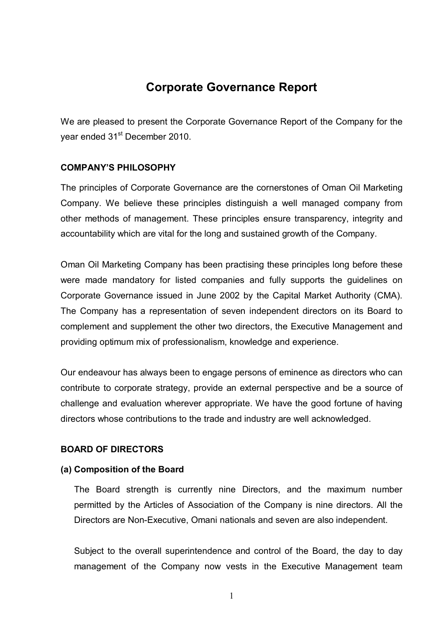# **Corporate Governance Report**

We are pleased to present the Corporate Governance Report of the Company for the year ended 31<sup>st</sup> December 2010.

## **COMPANY'S PHILOSOPHY**

The principles of Corporate Governance are the cornerstones of Oman Oil Marketing Company. We believe these principles distinguish a well managed company from other methods of management. These principles ensure transparency, integrity and accountability which are vital for the long and sustained growth of the Company.

Oman Oil Marketing Company has been practising these principles long before these were made mandatory for listed companies and fully supports the guidelines on Corporate Governance issued in June 2002 by the Capital Market Authority (CMA). The Company has a representation of seven independent directors on its Board to complement and supplement the other two directors, the Executive Management and providing optimum mix of professionalism, knowledge and experience.

Our endeavour has always been to engage persons of eminence as directors who can contribute to corporate strategy, provide an external perspective and be a source of challenge and evaluation wherever appropriate. We have the good fortune of having directors whose contributions to the trade and industry are well acknowledged.

## **BOARD OF DIRECTORS**

## **(a) Composition of the Board**

The Board strength is currently nine Directors, and the maximum number permitted by the Articles of Association of the Company is nine directors. All the Directors are Non-Executive, Omani nationals and seven are also independent.

Subject to the overall superintendence and control of the Board, the day to day management of the Company now vests in the Executive Management team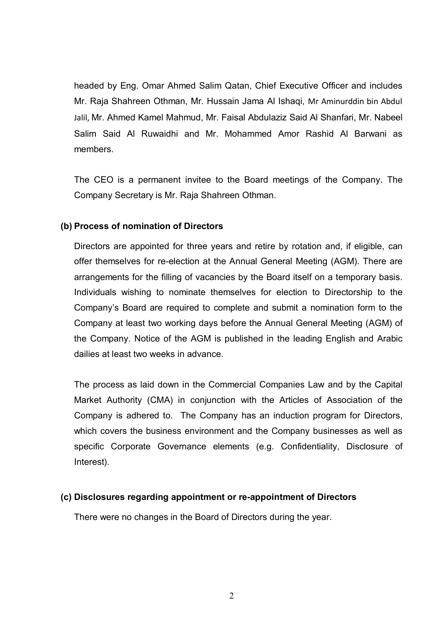headed by Eng. Omar Ahmed Salim Qatan, Chief Executive Officer and includes Mr. Raja Shahreen Othman, Mr. Hussain Jama Al Ishaqi, Mr Aminurddin bin Abdul Jalil, Mr. **ِ**Ahmed Kamel Mahmud, Mr. Faisal Abdulaziz Said Al Shanfari, Mr. Nabeel Salim Said Al Ruwaidhi and Mr. Mohammed Amor Rashid Al Barwani as members.

The CEO is a permanent invitee to the Board meetings of the Company. The Company Secretary is Mr. Raja Shahreen Othman.

### **(b) Process of nomination of Directors**

Directors are appointed for three years and retire by rotation and, if eligible, can offer themselves for re-election at the Annual General Meeting (AGM). There are arrangements for the filling of vacancies by the Board itself on a temporary basis. Individuals wishing to nominate themselves for election to Directorship to the Company's Board are required to complete and submit a nomination form to the Company at least two working days before the Annual General Meeting (AGM) of the Company. Notice of the AGM is published in the leading English and Arabic dailies at least two weeks in advance.

The process as laid down in the Commercial Companies Law and by the Capital Market Authority (CMA) in conjunction with the Articles of Association of the Company is adhered to. The Company has an induction program for Directors, which covers the business environment and the Company businesses as well as specific Corporate Governance elements (e.g. Confidentiality, Disclosure of Interest).

### **(c) Disclosures regarding appointment or re-appointment of Directors**

There were no changes in the Board of Directors during the year.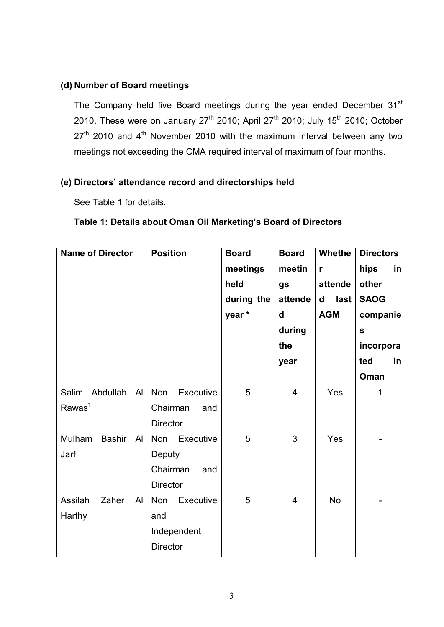## **(d) Number of Board meetings**

The Company held five Board meetings during the year ended December 31st 2010. These were on January  $27<sup>th</sup>$  2010; April 27<sup>th</sup> 2010; July 15<sup>th</sup> 2010; October  $27<sup>th</sup>$  2010 and  $4<sup>th</sup>$  November 2010 with the maximum interval between any two meetings not exceeding the CMA required interval of maximum of four months.

## **(e) Directors' attendance record and directorships held**

See Table 1 for details.

|  |  | Table 1: Details about Oman Oil Marketing's Board of Directors |  |  |
|--|--|----------------------------------------------------------------|--|--|
|  |  |                                                                |  |  |

| <b>Name of Director</b>                    | <b>Position</b>                                                  | <b>Board</b><br>meetings<br>held<br>during the<br>year* | <b>Board</b><br>meetin<br>gs<br>attende<br>d<br>during<br>the | <b>Whethe</b><br>$\mathbf{r}$<br>attende<br>last<br>d<br><b>AGM</b> | <b>Directors</b><br>hips<br>in<br>other<br><b>SAOG</b><br>companie<br>$\mathbf{s}$<br>incorpora<br>ted<br>in. |
|--------------------------------------------|------------------------------------------------------------------|---------------------------------------------------------|---------------------------------------------------------------|---------------------------------------------------------------------|---------------------------------------------------------------------------------------------------------------|
|                                            |                                                                  |                                                         | year                                                          |                                                                     | Oman                                                                                                          |
| Salim Abdullah Al<br>Rawas <sup>1</sup>    | <b>Non</b><br>Executive<br>Chairman<br>and<br><b>Director</b>    | 5                                                       | $\overline{4}$                                                | Yes                                                                 | 1                                                                                                             |
| Mulham<br>Bashir<br>$\overline{A}$<br>Jarf | <b>Non</b><br>Executive<br>Deputy<br>Chairman<br>and<br>Director | 5                                                       | 3                                                             | Yes                                                                 |                                                                                                               |
| Assilah<br>Zaher<br>Al<br>Harthy           | <b>Non</b><br>Executive<br>and<br>Independent<br><b>Director</b> | 5                                                       | $\overline{4}$                                                | <b>No</b>                                                           |                                                                                                               |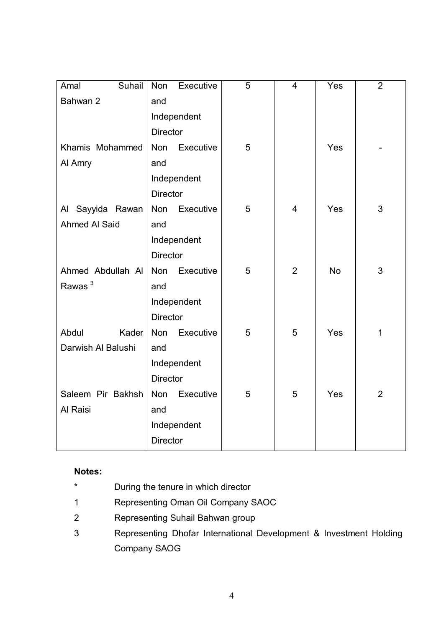| Suhail<br>Amal       | Executive<br>Non        | 5 | $\overline{4}$ | Yes        | $\overline{2}$ |
|----------------------|-------------------------|---|----------------|------------|----------------|
| Bahwan 2             | and                     |   |                |            |                |
|                      | Independent             |   |                |            |                |
|                      | <b>Director</b>         |   |                |            |                |
| Khamis Mohammed      | Non Executive           | 5 |                | Yes        |                |
| Al Amry              | and                     |   |                |            |                |
|                      | Independent             |   |                |            |                |
|                      | <b>Director</b>         |   |                |            |                |
| Al Sayyida Rawan     | Non<br>Executive        | 5 | $\overline{4}$ | Yes        | 3              |
| <b>Ahmed Al Said</b> | and                     |   |                |            |                |
|                      | Independent             |   |                |            |                |
|                      | <b>Director</b>         |   |                |            |                |
| Ahmed Abdullah Al    | Non<br>Executive        | 5 | $\overline{2}$ | <b>No</b>  | 3              |
| Rawas $3$            | and                     |   |                |            |                |
|                      | Independent             |   |                |            |                |
|                      | <b>Director</b>         |   |                |            |                |
| Abdul<br>Kader       | <b>Non</b><br>Executive | 5 | 5              | Yes        | 1              |
| Darwish Al Balushi   | and                     |   |                |            |                |
|                      | Independent             |   |                |            |                |
|                      | <b>Director</b>         |   |                |            |                |
| Saleem Pir Bakhsh    | Executive<br>Non        | 5 | 5              | <b>Yes</b> | $\overline{2}$ |
| Al Raisi             | and                     |   |                |            |                |
|                      | Independent             |   |                |            |                |
|                      | Director                |   |                |            |                |

## **Notes:**

- \* During the tenure in which director
- 1 Representing Oman Oil Company SAOC
- 2 Representing Suhail Bahwan group
- 3 Representing Dhofar International Development & Investment Holding Company SAOG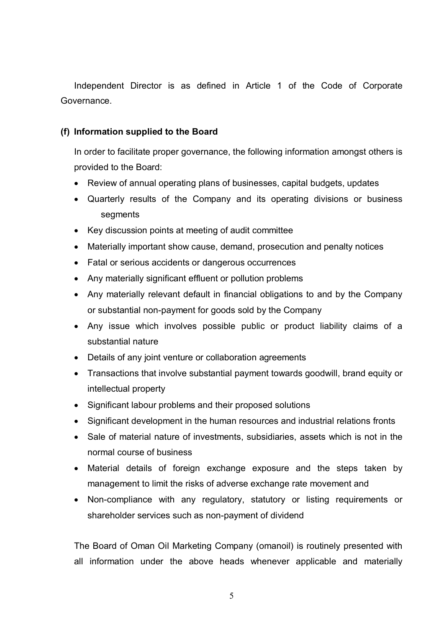Independent Director is as defined in Article 1 of the Code of Corporate Governance.

## **(f) Information supplied to the Board**

In order to facilitate proper governance, the following information amongst others is provided to the Board:

- · Review of annual operating plans of businesses, capital budgets, updates
- · Quarterly results of the Company and its operating divisions or business segments
- · Key discussion points at meeting of audit committee
- · Materially important show cause, demand, prosecution and penalty notices
- · Fatal or serious accidents or dangerous occurrences
- · Any materially significant effluent or pollution problems
- · Any materially relevant default in financial obligations to and by the Company or substantial non-payment for goods sold by the Company
- · Any issue which involves possible public or product liability claims of a substantial nature
- · Details of any joint venture or collaboration agreements
- · Transactions that involve substantial payment towards goodwill, brand equity or intellectual property
- · Significant labour problems and their proposed solutions
- · Significant development in the human resources and industrial relations fronts
- · Sale of material nature of investments, subsidiaries, assets which is not in the normal course of business
- · Material details of foreign exchange exposure and the steps taken by management to limit the risks of adverse exchange rate movement and
- · Non-compliance with any regulatory, statutory or listing requirements or shareholder services such as non-payment of dividend

The Board of Oman Oil Marketing Company (omanoil) is routinely presented with all information under the above heads whenever applicable and materially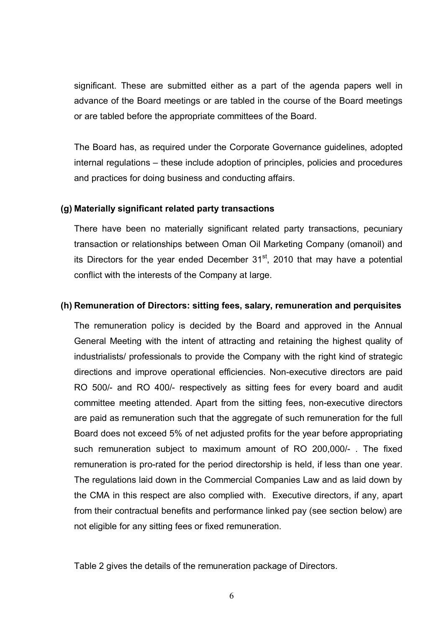significant. These are submitted either as a part of the agenda papers well in advance of the Board meetings or are tabled in the course of the Board meetings or are tabled before the appropriate committees of the Board.

The Board has, as required under the Corporate Governance guidelines, adopted internal regulations – these include adoption of principles, policies and procedures and practices for doing business and conducting affairs.

### **(g) Materially significant related party transactions**

There have been no materially significant related party transactions, pecuniary transaction or relationships between Oman Oil Marketing Company (omanoil) and its Directors for the year ended December  $31<sup>st</sup>$ , 2010 that may have a potential conflict with the interests of the Company at large.

## **(h) Remuneration of Directors: sitting fees, salary, remuneration and perquisites**

The remuneration policy is decided by the Board and approved in the Annual General Meeting with the intent of attracting and retaining the highest quality of industrialists/ professionals to provide the Company with the right kind of strategic directions and improve operational efficiencies. Non-executive directors are paid RO 500/- and RO 400/- respectively as sitting fees for every board and audit committee meeting attended. Apart from the sitting fees, non-executive directors are paid as remuneration such that the aggregate of such remuneration for the full Board does not exceed 5% of net adjusted profits for the year before appropriating such remuneration subject to maximum amount of RO 200,000/- . The fixed remuneration is pro-rated for the period directorship is held, if less than one year. The regulations laid down in the Commercial Companies Law and as laid down by the CMA in this respect are also complied with. Executive directors, if any, apart from their contractual benefits and performance linked pay (see section below) are not eligible for any sitting fees or fixed remuneration.

Table 2 gives the details of the remuneration package of Directors.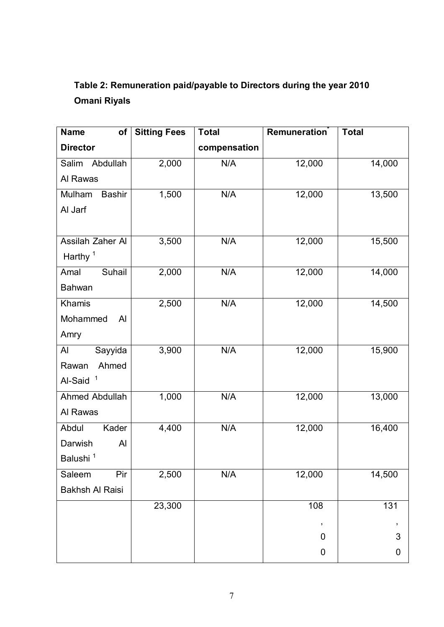# **Table 2: Remuneration paid/payable to Directors during the year 2010 Omani Riyals**

| <b>Name</b><br>of       | <b>Sitting Fees</b> | <b>Total</b> | Remuneration     | <b>Total</b>     |
|-------------------------|---------------------|--------------|------------------|------------------|
| <b>Director</b>         |                     | compensation |                  |                  |
| Salim<br>Abdullah       | 2,000               | N/A          | 12,000           | 14,000           |
| Al Rawas                |                     |              |                  |                  |
| Mulham<br><b>Bashir</b> | 1,500               | N/A          | 12,000           | 13,500           |
| Al Jarf                 |                     |              |                  |                  |
|                         |                     |              |                  |                  |
| Assilah Zaher Al        | 3,500               | N/A          | 12,000           | 15,500           |
| Harthy <sup>1</sup>     |                     |              |                  |                  |
| Suhail<br>Amal          | 2,000               | N/A          | 12,000           | 14,000           |
| <b>Bahwan</b>           |                     |              |                  |                  |
| Khamis                  | 2,500               | N/A          | 12,000           | 14,500           |
| Mohammed<br>Al          |                     |              |                  |                  |
| Amry                    |                     |              |                  |                  |
| Sayyida<br>Al           | 3,900               | N/A          | 12,000           | 15,900           |
| Ahmed<br>Rawan          |                     |              |                  |                  |
| $\mathbf{1}$<br>Al-Said |                     |              |                  |                  |
| Ahmed Abdullah          | 1,000               | N/A          | 12,000           | 13,000           |
| Al Rawas                |                     |              |                  |                  |
| Kader<br>Abdul          | 4,400               | N/A          | 12,000           | 16,400           |
| Darwish<br>Al           |                     |              |                  |                  |
| Balushi <sup>1</sup>    |                     |              |                  |                  |
| Pir<br>Saleem           | 2,500               | N/A          | 12,000           | 14,500           |
| <b>Bakhsh Al Raisi</b>  |                     |              |                  |                  |
|                         | 23,300              |              | $\overline{108}$ | $\overline{131}$ |
|                         |                     |              | ,                |                  |
|                         |                     |              | $\mathbf 0$      | 3                |
|                         |                     |              | 0                | 0                |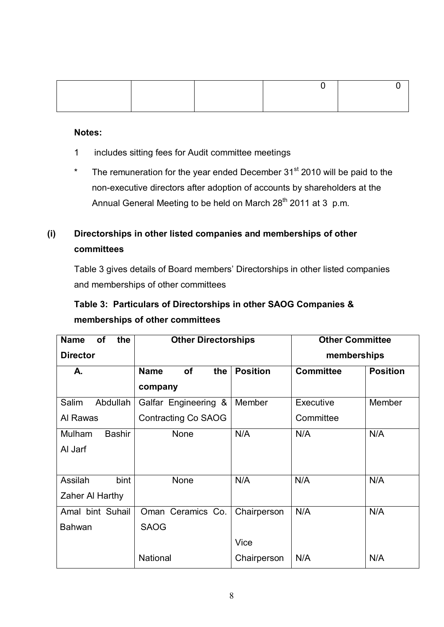### **Notes:**

- 1 includes sitting fees for Audit committee meetings
- \* The remuneration for the year ended December  $31<sup>st</sup>$  2010 will be paid to the non-executive directors after adoption of accounts by shareholders at the Annual General Meeting to be held on March 28<sup>th</sup> 2011 at 3 p.m.

# **(i) Directorships in other listed companies and memberships of other committees**

Table 3 gives details of Board members' Directorships in other listed companies and memberships of other committees

# **Table 3: Particulars of Directorships in other SAOG Companies & memberships of other committees**

| <b>Name</b><br>of<br>the | <b>Other Directorships</b>      |                 | <b>Other Committee</b> |                 |
|--------------------------|---------------------------------|-----------------|------------------------|-----------------|
| <b>Director</b>          |                                 |                 | memberships            |                 |
| А.                       | <b>of</b><br><b>Name</b><br>the | <b>Position</b> | <b>Committee</b>       | <b>Position</b> |
|                          | company                         |                 |                        |                 |
| Salim<br>Abdullah        | Galfar Engineering &            | Member          | Executive              | Member          |
| Al Rawas                 | <b>Contracting Co SAOG</b>      |                 | Committee              |                 |
| <b>Bashir</b><br>Mulham  | None                            | N/A             | N/A                    | N/A             |
| Al Jarf                  |                                 |                 |                        |                 |
|                          |                                 |                 |                        |                 |
| Assilah<br>bint          | None                            | N/A             | N/A                    | N/A             |
| Zaher Al Harthy          |                                 |                 |                        |                 |
| Amal bint Suhail         | Oman Ceramics Co.               | Chairperson     | N/A                    | N/A             |
| <b>Bahwan</b>            | <b>SAOG</b>                     |                 |                        |                 |
|                          |                                 | <b>Vice</b>     |                        |                 |
|                          | <b>National</b>                 | Chairperson     | N/A                    | N/A             |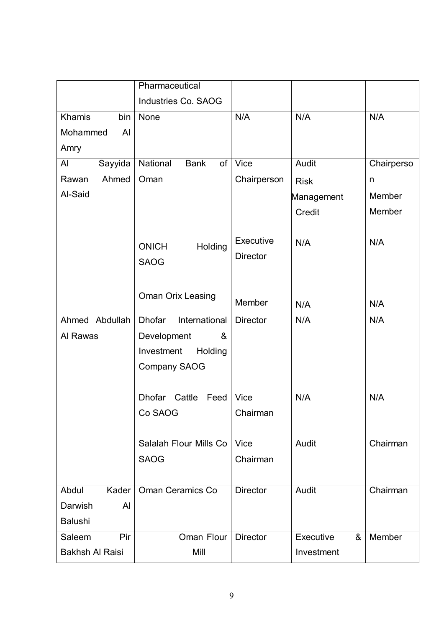|                        | Pharmaceutical                 |                 |                |            |
|------------------------|--------------------------------|-----------------|----------------|------------|
|                        | Industries Co. SAOG            |                 |                |            |
| Khamis<br>bin          | None                           | N/A             | N/A            | N/A        |
| AI<br>Mohammed         |                                |                 |                |            |
| Amry                   |                                |                 |                |            |
| Al<br>Sayyida          | National<br><b>Bank</b><br>of  | <b>Vice</b>     | Audit          | Chairperso |
| Ahmed<br>Rawan         | Oman                           | Chairperson     | <b>Risk</b>    | n          |
| Al-Said                |                                |                 | Management     | Member     |
|                        |                                |                 | Credit         | Member     |
|                        |                                |                 |                |            |
|                        | <b>ONICH</b><br>Holding        | Executive       | N/A            | N/A        |
|                        | <b>SAOG</b>                    | <b>Director</b> |                |            |
|                        |                                |                 |                |            |
|                        | <b>Oman Orix Leasing</b>       |                 |                |            |
|                        |                                | Member          | N/A            | N/A        |
| Ahmed Abdullah         | <b>Dhofar</b><br>International | <b>Director</b> | N/A            | N/A        |
| Al Rawas               | Development<br>&               |                 |                |            |
|                        | Investment<br>Holding          |                 |                |            |
|                        | <b>Company SAOG</b>            |                 |                |            |
|                        |                                |                 |                |            |
|                        | Dhofar Cattle<br>Feed          | <b>Vice</b>     | N/A            | N/A        |
|                        | Co SAOG                        | Chairman        |                |            |
|                        |                                |                 |                |            |
|                        | Salalah Flour Mills Co         | <b>Vice</b>     | Audit          | Chairman   |
|                        | <b>SAOG</b>                    | Chairman        |                |            |
|                        |                                |                 |                |            |
| Abdul<br>Kader         | Oman Ceramics Co               | <b>Director</b> | Audit          | Chairman   |
| Darwish<br>Al          |                                |                 |                |            |
| <b>Balushi</b>         |                                |                 |                |            |
| Saleem<br>Pir          | Oman Flour                     | <b>Director</b> | Executive<br>& | Member     |
| <b>Bakhsh Al Raisi</b> | Mill                           |                 | Investment     |            |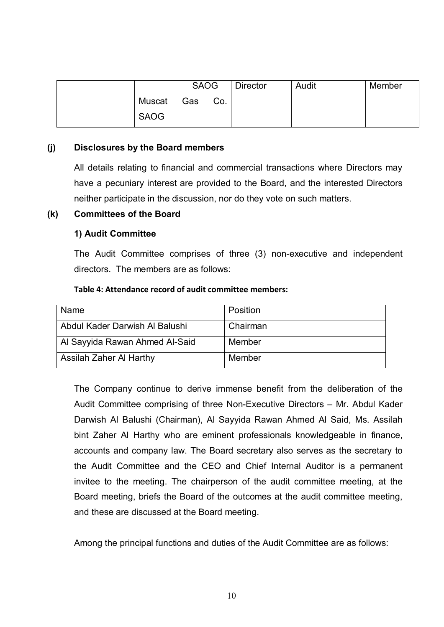|             |            | <b>SAOG</b> | Director | Audit | Member |
|-------------|------------|-------------|----------|-------|--------|
|             | Muscat Gas | Co.         |          |       |        |
| <b>SAOG</b> |            |             |          |       |        |

## **(j) Disclosures by the Board members**

All details relating to financial and commercial transactions where Directors may have a pecuniary interest are provided to the Board, and the interested Directors neither participate in the discussion, nor do they vote on such matters.

### **(k) Committees of the Board**

## **1) Audit Committee**

The Audit Committee comprises of three (3) non-executive and independent directors. The members are as follows:

### **Table 4: Attendance record of audit committee members:**

| Name                           | Position |
|--------------------------------|----------|
| Abdul Kader Darwish Al Balushi | Chairman |
| Al Sayyida Rawan Ahmed Al-Said | Member   |
| Assilah Zaher Al Harthy        | Member   |

The Company continue to derive immense benefit from the deliberation of the Audit Committee comprising of three Non-Executive Directors – Mr. Abdul Kader Darwish Al Balushi (Chairman), Al Sayyida Rawan Ahmed Al Said, Ms. Assilah bint Zaher Al Harthy who are eminent professionals knowledgeable in finance, accounts and company law. The Board secretary also serves as the secretary to the Audit Committee and the CEO and Chief Internal Auditor is a permanent invitee to the meeting. The chairperson of the audit committee meeting, at the Board meeting, briefs the Board of the outcomes at the audit committee meeting, and these are discussed at the Board meeting.

Among the principal functions and duties of the Audit Committee are as follows: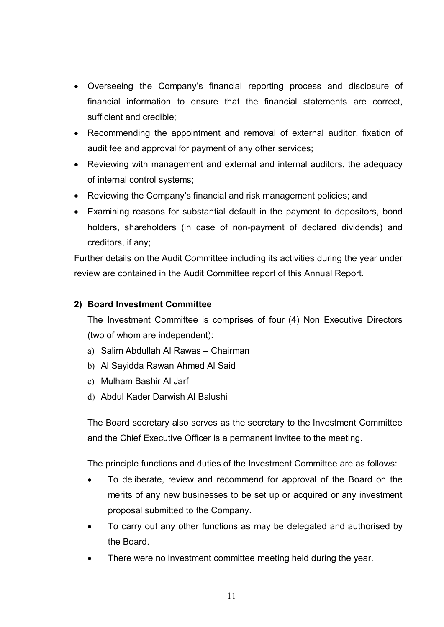- · Overseeing the Company's financial reporting process and disclosure of financial information to ensure that the financial statements are correct, sufficient and credible;
- · Recommending the appointment and removal of external auditor, fixation of audit fee and approval for payment of any other services;
- · Reviewing with management and external and internal auditors, the adequacy of internal control systems;
- · Reviewing the Company's financial and risk management policies; and
- · Examining reasons for substantial default in the payment to depositors, bond holders, shareholders (in case of non-payment of declared dividends) and creditors, if any;

Further details on the Audit Committee including its activities during the year under review are contained in the Audit Committee report of this Annual Report.

## **2) Board Investment Committee**

The Investment Committee is comprises of four (4) Non Executive Directors (two of whom are independent):

- a) Salim Abdullah Al Rawas Chairman
- b) Al Sayidda Rawan Ahmed Al Said
- c) Mulham Bashir Al Jarf
- d) Abdul Kader Darwish Al Balushi

The Board secretary also serves as the secretary to the Investment Committee and the Chief Executive Officer is a permanent invitee to the meeting.

The principle functions and duties of the Investment Committee are as follows:

- To deliberate, review and recommend for approval of the Board on the merits of any new businesses to be set up or acquired or any investment proposal submitted to the Company.
- · To carry out any other functions as may be delegated and authorised by the Board.
- There were no investment committee meeting held during the year.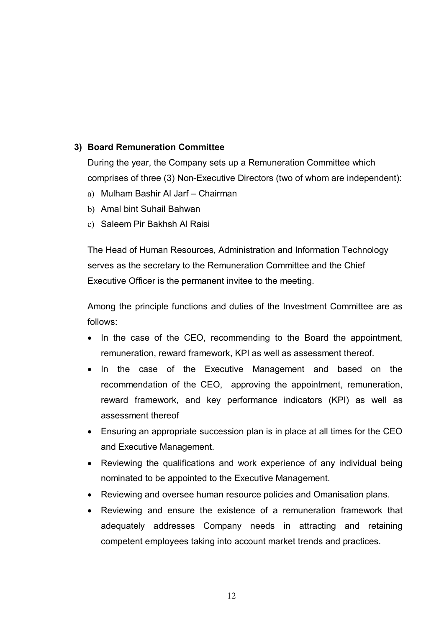## **3) Board Remuneration Committee**

During the year, the Company sets up a Remuneration Committee which comprises of three (3) Non-Executive Directors (two of whom are independent):

- a) Mulham Bashir Al Jarf Chairman
- b) Amal bint Suhail Bahwan
- c) Saleem Pir Bakhsh Al Raisi

The Head of Human Resources, Administration and Information Technology serves as the secretary to the Remuneration Committee and the Chief Executive Officer is the permanent invitee to the meeting.

Among the principle functions and duties of the Investment Committee are as follows:

- In the case of the CEO, recommending to the Board the appointment, remuneration, reward framework, KPI as well as assessment thereof.
- · In the case of the Executive Management and based on the recommendation of the CEO, approving the appointment, remuneration, reward framework, and key performance indicators (KPI) as well as assessment thereof
- · Ensuring an appropriate succession plan is in place at all times for the CEO and Executive Management.
- Reviewing the qualifications and work experience of any individual being nominated to be appointed to the Executive Management.
- · Reviewing and oversee human resource policies and Omanisation plans.
- · Reviewing and ensure the existence of a remuneration framework that adequately addresses Company needs in attracting and retaining competent employees taking into account market trends and practices.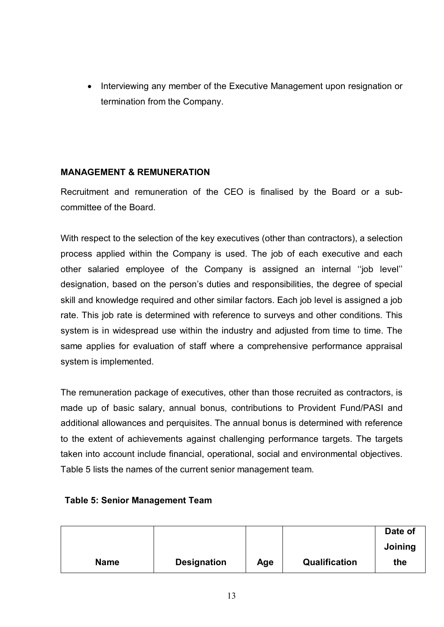· Interviewing any member of the Executive Management upon resignation or termination from the Company.

## **MANAGEMENT & REMUNERATION**

Recruitment and remuneration of the CEO is finalised by the Board or a subcommittee of the Board.

With respect to the selection of the key executives (other than contractors), a selection process applied within the Company is used. The job of each executive and each other salaried employee of the Company is assigned an internal ''job level'' designation, based on the person's duties and responsibilities, the degree of special skill and knowledge required and other similar factors. Each job level is assigned a job rate. This job rate is determined with reference to surveys and other conditions. This system is in widespread use within the industry and adjusted from time to time. The same applies for evaluation of staff where a comprehensive performance appraisal system is implemented.

The remuneration package of executives, other than those recruited as contractors, is made up of basic salary, annual bonus, contributions to Provident Fund/PASI and additional allowances and perquisites. The annual bonus is determined with reference to the extent of achievements against challenging performance targets. The targets taken into account include financial, operational, social and environmental objectives. Table 5 lists the names of the current senior management team.

## **Table 5: Senior Management Team**

|             |                    |     |               | Date of |
|-------------|--------------------|-----|---------------|---------|
|             |                    |     |               | Joining |
| <b>Name</b> | <b>Designation</b> | Age | Qualification | the     |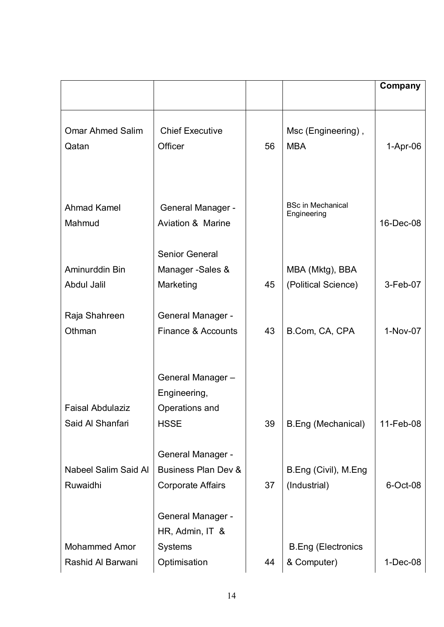|                                           |                                                                                        |    |                                          | Company    |
|-------------------------------------------|----------------------------------------------------------------------------------------|----|------------------------------------------|------------|
| <b>Omar Ahmed Salim</b><br>Qatan          | <b>Chief Executive</b><br>Officer                                                      | 56 | Msc (Engineering),<br><b>MBA</b>         | $1-Apr-06$ |
| Ahmad Kamel<br>Mahmud                     | <b>General Manager -</b><br><b>Aviation &amp; Marine</b>                               |    | <b>BSc in Mechanical</b><br>Engineering  | 16-Dec-08  |
| Aminurddin Bin<br>Abdul Jalil             | Senior General<br>Manager - Sales &<br>Marketing                                       | 45 | MBA (Mktg), BBA<br>(Political Science)   | 3-Feb-07   |
| Raja Shahreen<br>Othman                   | <b>General Manager -</b><br>Finance & Accounts                                         | 43 | B.Com, CA, CPA                           | 1-Nov-07   |
| <b>Faisal Abdulaziz</b>                   | General Manager-<br>Engineering,<br>Operations and                                     |    |                                          |            |
| Said Al Shanfari                          | <b>HSSE</b>                                                                            | 39 | B.Eng (Mechanical)                       | 11-Feb-08  |
| Nabeel Salim Said Al<br>Ruwaidhi          | <b>General Manager -</b><br><b>Business Plan Dev &amp;</b><br><b>Corporate Affairs</b> | 37 | B.Eng (Civil), M.Eng<br>(Industrial)     | 6-Oct-08   |
| <b>Mohammed Amor</b><br>Rashid Al Barwani | General Manager -<br>HR, Admin, IT &<br><b>Systems</b><br>Optimisation                 | 44 | <b>B.Eng (Electronics</b><br>& Computer) | $1-Dec-08$ |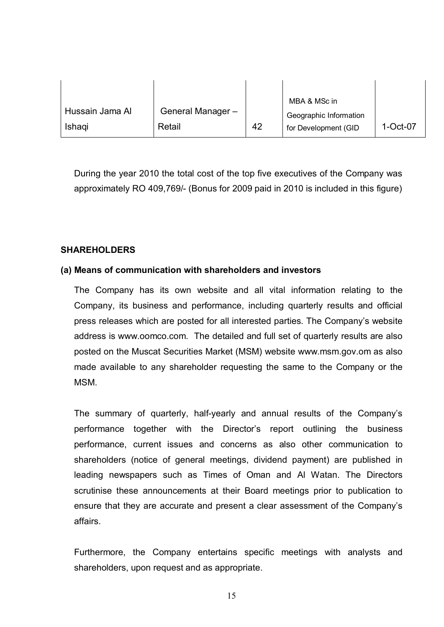|                 |                  |    | MBA & MSc in           |          |
|-----------------|------------------|----|------------------------|----------|
| Hussain Jama Al | General Manager- |    | Geographic Information |          |
| <b>Ishagi</b>   | Retail           | 42 | for Development (GID   | 1-Oct-07 |

During the year 2010 the total cost of the top five executives of the Company was approximately RO 409,769/- (Bonus for 2009 paid in 2010 is included in this figure)

## **SHAREHOLDERS**

## **(a) Means of communication with shareholders and investors**

The Company has its own website and all vital information relating to the Company, its business and performance, including quarterly results and official press releases which are posted for all interested parties. The Company's website address is www.oomco.com. The detailed and full set of quarterly results are also posted on the Muscat Securities Market (MSM) website www.msm.gov.om as also made available to any shareholder requesting the same to the Company or the **MSM** 

The summary of quarterly, half-yearly and annual results of the Company's performance together with the Director's report outlining the business performance, current issues and concerns as also other communication to shareholders (notice of general meetings, dividend payment) are published in leading newspapers such as Times of Oman and Al Watan. The Directors scrutinise these announcements at their Board meetings prior to publication to ensure that they are accurate and present a clear assessment of the Company's affairs.

Furthermore, the Company entertains specific meetings with analysts and shareholders, upon request and as appropriate.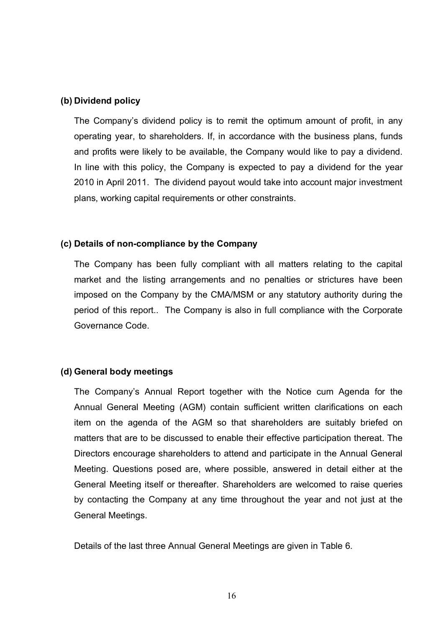## **(b) Dividend policy**

The Company's dividend policy is to remit the optimum amount of profit, in any operating year, to shareholders. If, in accordance with the business plans, funds and profits were likely to be available, the Company would like to pay a dividend. In line with this policy, the Company is expected to pay a dividend for the year 2010 in April 2011. The dividend payout would take into account major investment plans, working capital requirements or other constraints.

## **(c) Details of non-compliance by the Company**

The Company has been fully compliant with all matters relating to the capital market and the listing arrangements and no penalties or strictures have been imposed on the Company by the CMA/MSM or any statutory authority during the period of this report.. The Company is also in full compliance with the Corporate Governance Code.

### **(d) General body meetings**

The Company's Annual Report together with the Notice cum Agenda for the Annual General Meeting (AGM) contain sufficient written clarifications on each item on the agenda of the AGM so that shareholders are suitably briefed on matters that are to be discussed to enable their effective participation thereat. The Directors encourage shareholders to attend and participate in the Annual General Meeting. Questions posed are, where possible, answered in detail either at the General Meeting itself or thereafter. Shareholders are welcomed to raise queries by contacting the Company at any time throughout the year and not just at the General Meetings.

Details of the last three Annual General Meetings are given in Table 6.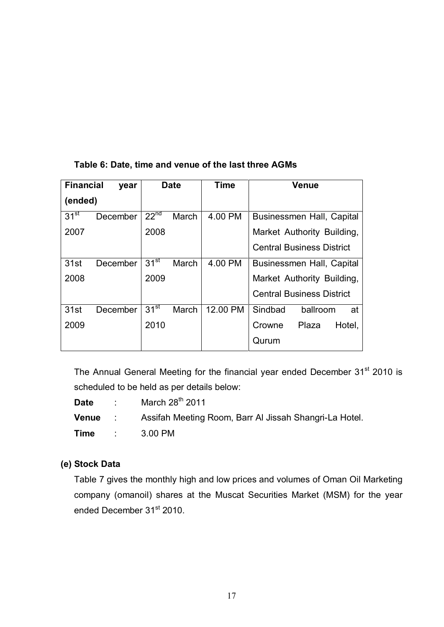## **Table 6: Date, time and venue of the last three AGMs**

| <b>Financial</b><br>year |          |                  | <b>Date</b> | <b>Time</b> | <b>Venue</b>                     |
|--------------------------|----------|------------------|-------------|-------------|----------------------------------|
| (ended)                  |          |                  |             |             |                                  |
| $31^{st}$                | December | 22 <sup>nd</sup> | March       | 4.00 PM     | <b>Businessmen Hall, Capital</b> |
| 2007                     |          | 2008             |             |             | Market Authority Building,       |
|                          |          |                  |             |             | <b>Central Business District</b> |
| 31st                     | December | $31^{st}$        | March       | 4.00 PM     | Businessmen Hall, Capital        |
| 2008                     |          | 2009             |             |             | Market Authority Building,       |
|                          |          |                  |             |             | <b>Central Business District</b> |
| 31st                     | December | 31 <sup>st</sup> | March       | 12.00 PM    | Sindbad<br>ballroom<br>at        |
| 2009                     |          | 2010             |             |             | Crowne<br>Hotel,<br>Plaza        |
|                          |          |                  |             |             | Qurum                            |

The Annual General Meeting for the financial year ended December 31<sup>st</sup> 2010 is scheduled to be held as per details below:

**Date** : March 28<sup>th</sup> 2011 **Venue** : Assifah Meeting Room, Barr Al Jissah Shangri-La Hotel. **Time** : 3.00 PM

## **(e) Stock Data**

Table 7 gives the monthly high and low prices and volumes of Oman Oil Marketing company (omanoil) shares at the Muscat Securities Market (MSM) for the year ended December 31<sup>st</sup> 2010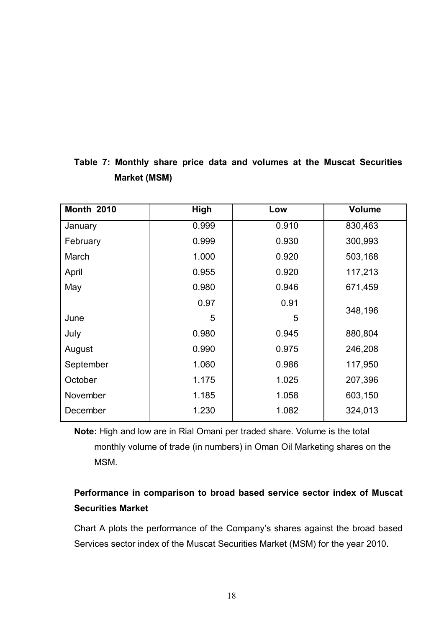| <b>Month 2010</b> | <b>High</b> | Low   | <b>Volume</b> |
|-------------------|-------------|-------|---------------|
| January           | 0.999       | 0.910 | 830,463       |
| February          | 0.999       | 0.930 | 300,993       |
| March             | 1.000       | 0.920 | 503,168       |
| April             | 0.955       | 0.920 | 117,213       |
| May               | 0.980       | 0.946 | 671,459       |
|                   | 0.97        | 0.91  | 348,196       |
| June              | 5           | 5     |               |
| July              | 0.980       | 0.945 | 880,804       |
| August            | 0.990       | 0.975 | 246,208       |
| September         | 1.060       | 0.986 | 117,950       |
| October           | 1.175       | 1.025 | 207,396       |
| November          | 1.185       | 1.058 | 603,150       |
| December          | 1.230       | 1.082 | 324,013       |

# **Table 7: Monthly share price data and volumes at the Muscat Securities Market (MSM)**

**Note:** High and low are in Rial Omani per traded share. Volume is the total monthly volume of trade (in numbers) in Oman Oil Marketing shares on the MSM.

# **Performance in comparison to broad based service sector index of Muscat Securities Market**

Chart A plots the performance of the Company's shares against the broad based Services sector index of the Muscat Securities Market (MSM) for the year 2010.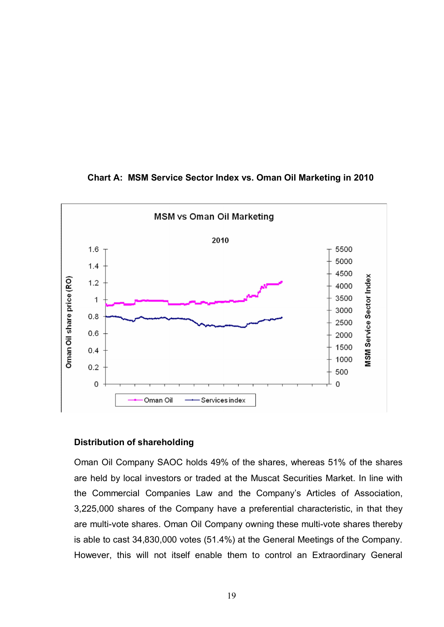

## **Chart A: MSM Service Sector Index vs. Oman Oil Marketing in 2010**

## **Distribution of shareholding**

Oman Oil Company SAOC holds 49% of the shares, whereas 51% of the shares are held by local investors or traded at the Muscat Securities Market. In line with the Commercial Companies Law and the Company's Articles of Association, 3,225,000 shares of the Company have a preferential characteristic, in that they are multi-vote shares. Oman Oil Company owning these multi-vote shares thereby is able to cast 34,830,000 votes (51.4%) at the General Meetings of the Company. However, this will not itself enable them to control an Extraordinary General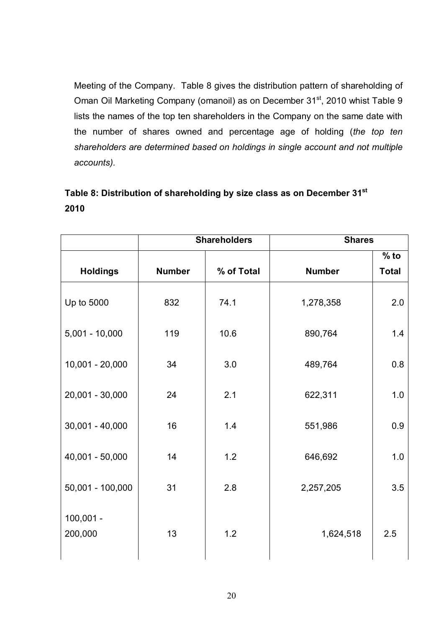Meeting of the Company. Table 8 gives the distribution pattern of shareholding of Oman Oil Marketing Company (omanoil) as on December 31<sup>st</sup>, 2010 whist Table 9 lists the names of the top ten shareholders in the Company on the same date with the number of shares owned and percentage age of holding (*the top ten shareholders are determined based on holdings in single account and not multiple accounts).*

# **Table 8: Distribution of shareholding by size class as on December 31st 2010**

|                        |               | <b>Shareholders</b> | <b>Shares</b> |              |
|------------------------|---------------|---------------------|---------------|--------------|
|                        |               |                     |               | $%$ to       |
| <b>Holdings</b>        | <b>Number</b> | % of Total          | <b>Number</b> | <b>Total</b> |
| Up to 5000             | 832           | 74.1                | 1,278,358     | 2.0          |
| $5,001 - 10,000$       | 119           | 10.6                | 890,764       | 1.4          |
| $10,001 - 20,000$      | 34            | 3.0                 | 489,764       | 0.8          |
| 20,001 - 30,000        | 24            | 2.1                 | 622,311       | 1.0          |
| $30,001 - 40,000$      | 16            | 1.4                 | 551,986       | 0.9          |
| 40,001 - 50,000        | 14            | 1.2                 | 646,692       | 1.0          |
| 50,001 - 100,000       | 31            | 2.8                 | 2,257,205     | 3.5          |
| $100,001 -$<br>200,000 | 13            | 1.2                 | 1,624,518     | 2.5          |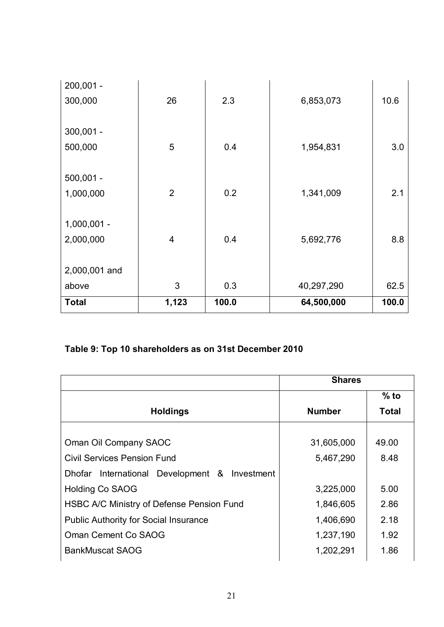| $200,001 -$   |                |       |            |       |
|---------------|----------------|-------|------------|-------|
| 300,000       | 26             | 2.3   | 6,853,073  | 10.6  |
|               |                |       |            |       |
| $300,001 -$   |                |       |            |       |
| 500,000       | 5              | 0.4   | 1,954,831  | 3.0   |
|               |                |       |            |       |
| $500,001 -$   |                |       |            |       |
| 1,000,000     | $\overline{2}$ | 0.2   | 1,341,009  | 2.1   |
|               |                |       |            |       |
| $1,000,001 -$ |                |       |            |       |
| 2,000,000     | $\overline{4}$ | 0.4   | 5,692,776  | 8.8   |
|               |                |       |            |       |
| 2,000,001 and |                |       |            |       |
| above         | 3              | 0.3   | 40,297,290 | 62.5  |
| <b>Total</b>  | 1,123          | 100.0 | 64,500,000 | 100.0 |

# **Table 9: Top 10 shareholders as on 31st December 2010**

|                                               | <b>Shares</b> |        |
|-----------------------------------------------|---------------|--------|
|                                               |               | $%$ to |
| <b>Holdings</b>                               | <b>Number</b> | Total  |
|                                               |               |        |
| Oman Oil Company SAOC                         | 31,605,000    | 49.00  |
| <b>Civil Services Pension Fund</b>            | 5,467,290     | 8.48   |
| Dhofar International Development & Investment |               |        |
| <b>Holding Co SAOG</b>                        | 3,225,000     | 5.00   |
| HSBC A/C Ministry of Defense Pension Fund     | 1,846,605     | 2.86   |
| <b>Public Authority for Social Insurance</b>  | 1,406,690     | 2.18   |
| Oman Cement Co SAOG                           | 1,237,190     | 1.92   |
| <b>BankMuscat SAOG</b>                        | 1,202,291     | 1.86   |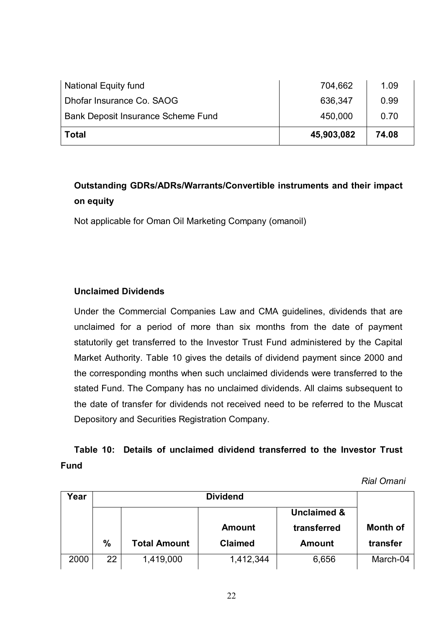| <b>Total</b>                       | 45,903,082 | 74.08 |
|------------------------------------|------------|-------|
| Bank Deposit Insurance Scheme Fund | 450,000    | 0.70  |
| Dhofar Insurance Co. SAOG          | 636,347    | 0.99  |
| National Equity fund               | 704,662    | 1.09  |

# **Outstanding GDRs/ADRs/Warrants/Convertible instruments and their impact on equity**

Not applicable for Oman Oil Marketing Company (omanoil)

## **Unclaimed Dividends**

Under the Commercial Companies Law and CMA guidelines, dividends that are unclaimed for a period of more than six months from the date of payment statutorily get transferred to the Investor Trust Fund administered by the Capital Market Authority. Table 10 gives the details of dividend payment since 2000 and the corresponding months when such unclaimed dividends were transferred to the stated Fund. The Company has no unclaimed dividends. All claims subsequent to the date of transfer for dividends not received need to be referred to the Muscat Depository and Securities Registration Company.

# **Table 10: Details of unclaimed dividend transferred to the Investor Trust Fund**

*Rial Omani*

| Year |               |                     |                        |               |                 |
|------|---------------|---------------------|------------------------|---------------|-----------------|
|      |               |                     | <b>Unclaimed &amp;</b> |               |                 |
|      |               |                     | <b>Amount</b>          | transferred   | <b>Month of</b> |
|      | $\frac{0}{0}$ | <b>Total Amount</b> | <b>Claimed</b>         | <b>Amount</b> | transfer        |
| 2000 | 22            | 1,419,000           | 1,412,344              | 6,656         | March-04        |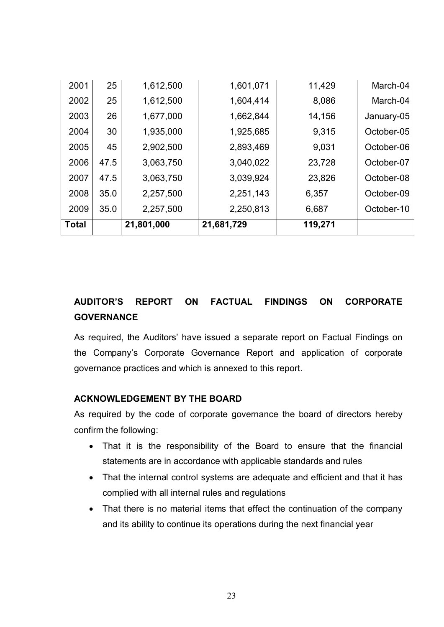| <b>Total</b> |      | 21,801,000 | 21,681,729 | 119,271 |            |
|--------------|------|------------|------------|---------|------------|
| 2009         | 35.0 | 2,257,500  | 2,250,813  | 6,687   | October-10 |
| 2008         | 35.0 | 2,257,500  | 2,251,143  | 6,357   | October-09 |
| 2007         | 47.5 | 3,063,750  | 3,039,924  | 23,826  | October-08 |
| 2006         | 47.5 | 3,063,750  | 3,040,022  | 23,728  | October-07 |
| 2005         | 45   | 2,902,500  | 2,893,469  | 9,031   | October-06 |
| 2004         | 30   | 1,935,000  | 1,925,685  | 9,315   | October-05 |
| 2003         | 26   | 1,677,000  | 1,662,844  | 14,156  | January-05 |
| 2002         | 25   | 1,612,500  | 1,604,414  | 8,086   | March-04   |
| 2001         | 25   | 1,612,500  | 1,601,071  | 11,429  | March-04   |

# **AUDITOR'S REPORT ON FACTUAL FINDINGS ON CORPORATE GOVERNANCE**

As required, the Auditors' have issued a separate report on Factual Findings on the Company's Corporate Governance Report and application of corporate governance practices and which is annexed to this report.

## **ACKNOWLEDGEMENT BY THE BOARD**

As required by the code of corporate governance the board of directors hereby confirm the following:

- · That it is the responsibility of the Board to ensure that the financial statements are in accordance with applicable standards and rules
- · That the internal control systems are adequate and efficient and that it has complied with all internal rules and regulations
- That there is no material items that effect the continuation of the company and its ability to continue its operations during the next financial year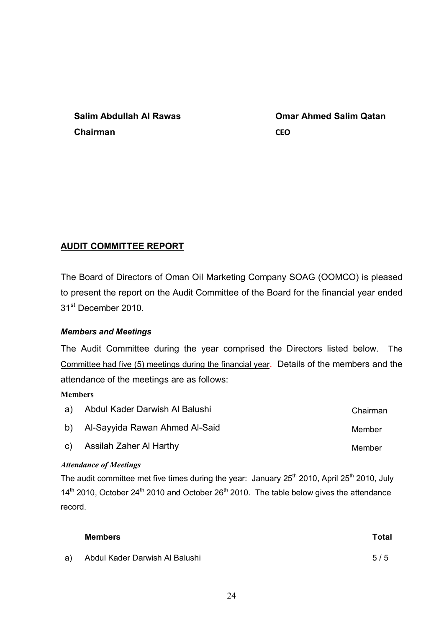| Salim Abdullah Al Rawas | Om         |
|-------------------------|------------|
| Chairman                | <b>CEO</b> |

**Omar Ahmed Salim Qatan** 

## **AUDIT COMMITTEE REPORT**

The Board of Directors of Oman Oil Marketing Company SOAG (OOMCO) is pleased to present the report on the Audit Committee of the Board for the financial year ended 31st December 2010.

### *Members and Meetings*

The Audit Committee during the year comprised the Directors listed below. The Committee had five (5) meetings during the financial year. Details of the members and the attendance of the meetings are as follows:

### **Members**

| a) Abdul Kader Darwish Al Balushi | Chairman |
|-----------------------------------|----------|
| b) Al-Sayyida Rawan Ahmed Al-Said | Member   |
| c) Assilah Zaher Al Harthy        | Member   |
| $\cdots$ . The state $\cdots$     |          |

### *Attendance of Meetings*

The audit committee met five times during the year: January  $25<sup>th</sup> 2010$ , April  $25<sup>th</sup> 2010$ , July  $14<sup>th</sup>$  2010, October 24<sup>th</sup> 2010 and October 26<sup>th</sup> 2010. The table below gives the attendance record.

| Members                           | Total |
|-----------------------------------|-------|
| a) Abdul Kader Darwish Al Balushi | 5/5   |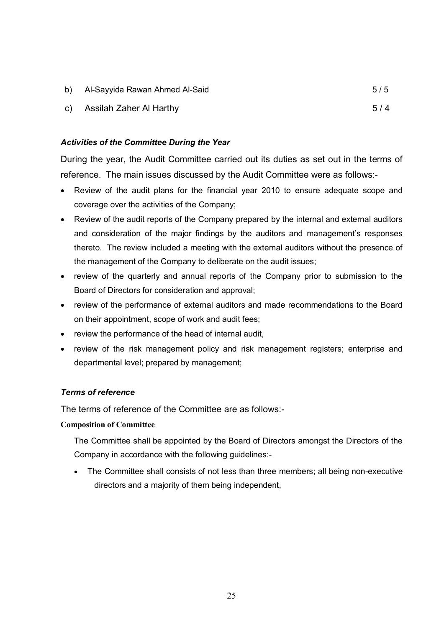| b) Al-Sayyida Rawan Ahmed Al-Said | 5/5 |
|-----------------------------------|-----|
| c) Assilah Zaher Al Harthy        | 5/4 |

### *Activities of the Committee During the Year*

During the year, the Audit Committee carried out its duties as set out in the terms of reference. The main issues discussed by the Audit Committee were as follows:-

- · Review of the audit plans for the financial year 2010 to ensure adequate scope and coverage over the activities of the Company;
- · Review of the audit reports of the Company prepared by the internal and external auditors and consideration of the major findings by the auditors and management's responses thereto. The review included a meeting with the external auditors without the presence of the management of the Company to deliberate on the audit issues;
- · review of the quarterly and annual reports of the Company prior to submission to the Board of Directors for consideration and approval;
- · review of the performance of external auditors and made recommendations to the Board on their appointment, scope of work and audit fees;
- · review the performance of the head of internal audit,
- · review of the risk management policy and risk management registers; enterprise and departmental level; prepared by management;

### *Terms of reference*

The terms of reference of the Committee are as follows:-

### **Composition of Committee**

The Committee shall be appointed by the Board of Directors amongst the Directors of the Company in accordance with the following guidelines:-

· The Committee shall consists of not less than three members; all being non-executive directors and a majority of them being independent,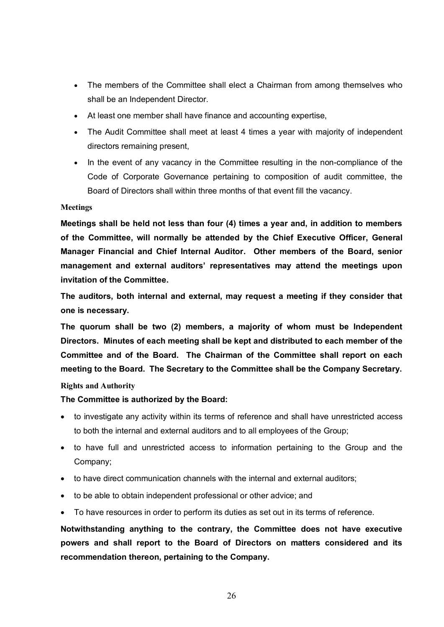- The members of the Committee shall elect a Chairman from among themselves who shall be an Independent Director.
- At least one member shall have finance and accounting expertise,
- The Audit Committee shall meet at least 4 times a year with majority of independent directors remaining present,
- · In the event of any vacancy in the Committee resulting in the non-compliance of the Code of Corporate Governance pertaining to composition of audit committee, the Board of Directors shall within three months of that event fill the vacancy.

### **Meetings**

**Meetings shall be held not less than four (4) times a year and, in addition to members of the Committee, will normally be attended by the Chief Executive Officer, General Manager Financial and Chief Internal Auditor. Other members of the Board, senior management and external auditors' representatives may attend the meetings upon invitation of the Committee.**

**The auditors, both internal and external, may request a meeting if they consider that one is necessary.**

**The quorum shall be two (2) members, a majority of whom must be Independent Directors. Minutes of each meeting shall be kept and distributed to each member of the Committee and of the Board. The Chairman of the Committee shall report on each meeting to the Board. The Secretary to the Committee shall be the Company Secretary.**

### **Rights and Authority**

### **The Committee is authorized by the Board:**

- to investigate any activity within its terms of reference and shall have unrestricted access to both the internal and external auditors and to all employees of the Group;
- · to have full and unrestricted access to information pertaining to the Group and the Company;
- · to have direct communication channels with the internal and external auditors;
- · to be able to obtain independent professional or other advice; and
- · To have resources in order to perform its duties as set out in its terms of reference.

**Notwithstanding anything to the contrary, the Committee does not have executive powers and shall report to the Board of Directors on matters considered and its recommendation thereon, pertaining to the Company.**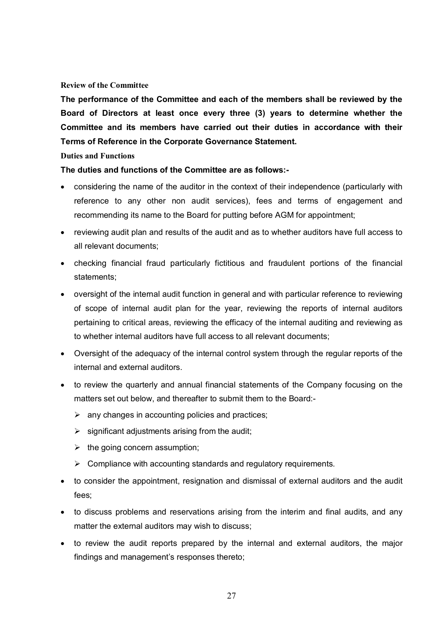### **Review of the Committee**

**The performance of the Committee and each of the members shall be reviewed by the Board of Directors at least once every three (3) years to determine whether the Committee and its members have carried out their duties in accordance with their Terms of Reference in the Corporate Governance Statement.**

### **Duties and Functions**

**The duties and functions of the Committee are as follows:-**

- · considering the name of the auditor in the context of their independence (particularly with reference to any other non audit services), fees and terms of engagement and recommending its name to the Board for putting before AGM for appointment;
- · reviewing audit plan and results of the audit and as to whether auditors have full access to all relevant documents;
- · checking financial fraud particularly fictitious and fraudulent portions of the financial statements;
- · oversight of the internal audit function in general and with particular reference to reviewing of scope of internal audit plan for the year, reviewing the reports of internal auditors pertaining to critical areas, reviewing the efficacy of the internal auditing and reviewing as to whether internal auditors have full access to all relevant documents;
- · Oversight of the adequacy of the internal control system through the regular reports of the internal and external auditors.
- · to review the quarterly and annual financial statements of the Company focusing on the matters set out below, and thereafter to submit them to the Board:-
	- $\triangleright$  any changes in accounting policies and practices;
	- $\triangleright$  significant adjustments arising from the audit;
	- $\triangleright$  the going concern assumption;
	- $\triangleright$  Compliance with accounting standards and regulatory requirements.
- · to consider the appointment, resignation and dismissal of external auditors and the audit fees;
- to discuss problems and reservations arising from the interim and final audits, and any matter the external auditors may wish to discuss;
- · to review the audit reports prepared by the internal and external auditors, the major findings and management's responses thereto;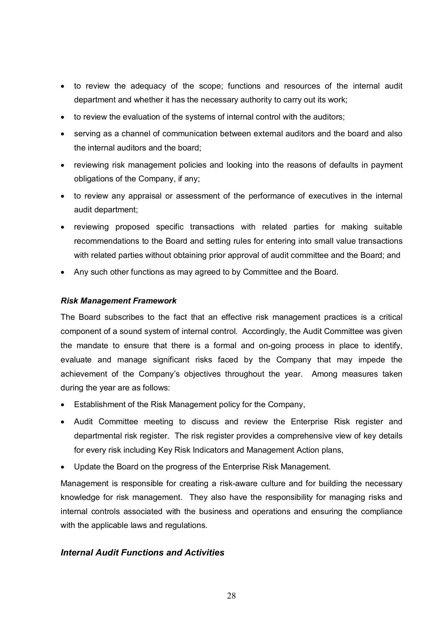- · to review the adequacy of the scope; functions and resources of the internal audit department and whether it has the necessary authority to carry out its work;
- to review the evaluation of the systems of internal control with the auditors;
- · serving as a channel of communication between external auditors and the board and also the internal auditors and the board;
- · reviewing risk management policies and looking into the reasons of defaults in payment obligations of the Company, if any;
- · to review any appraisal or assessment of the performance of executives in the internal audit department;
- · reviewing proposed specific transactions with related parties for making suitable recommendations to the Board and setting rules for entering into small value transactions with related parties without obtaining prior approval of audit committee and the Board; and
- · Any such other functions as may agreed to by Committee and the Board.

### *Risk Management Framework*

The Board subscribes to the fact that an effective risk management practices is a critical component of a sound system of internal control. Accordingly, the Audit Committee was given the mandate to ensure that there is a formal and on-going process in place to identify, evaluate and manage significant risks faced by the Company that may impede the achievement of the Company's objectives throughout the year. Among measures taken during the year are as follows:

- · Establishment of the Risk Management policy for the Company,
- · Audit Committee meeting to discuss and review the Enterprise Risk register and departmental risk register. The risk register provides a comprehensive view of key details for every risk including Key Risk Indicators and Management Action plans,
- · Update the Board on the progress of the Enterprise Risk Management.

Management is responsible for creating a risk-aware culture and for building the necessary knowledge for risk management. They also have the responsibility for managing risks and internal controls associated with the business and operations and ensuring the compliance with the applicable laws and regulations.

### *Internal Audit Functions and Activities*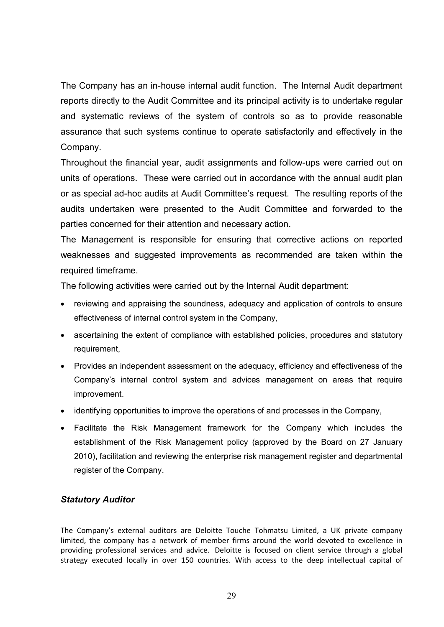The Company has an in-house internal audit function. The Internal Audit department reports directly to the Audit Committee and its principal activity is to undertake regular and systematic reviews of the system of controls so as to provide reasonable assurance that such systems continue to operate satisfactorily and effectively in the Company.

Throughout the financial year, audit assignments and follow-ups were carried out on units of operations. These were carried out in accordance with the annual audit plan or as special ad-hoc audits at Audit Committee's request. The resulting reports of the audits undertaken were presented to the Audit Committee and forwarded to the parties concerned for their attention and necessary action.

The Management is responsible for ensuring that corrective actions on reported weaknesses and suggested improvements as recommended are taken within the required timeframe.

The following activities were carried out by the Internal Audit department:

- reviewing and appraising the soundness, adequacy and application of controls to ensure effectiveness of internal control system in the Company,
- ascertaining the extent of compliance with established policies, procedures and statutory requirement,
- · Provides an independent assessment on the adequacy, efficiency and effectiveness of the Company's internal control system and advices management on areas that require improvement.
- · identifying opportunities to improve the operations of and processes in the Company,
- · Facilitate the Risk Management framework for the Company which includes the establishment of the Risk Management policy (approved by the Board on 27 January 2010), facilitation and reviewing the enterprise risk management register and departmental register of the Company.

### *Statutory Auditor*

The Company's external auditors are Deloitte Touche Tohmatsu Limited, a UK private company limited, the company has a network of member firms around the world devoted to excellence in providing professional services and advice. Deloitte is focused on client service through a global strategy executed locally in over 150 countries. With access to the deep intellectual capital of